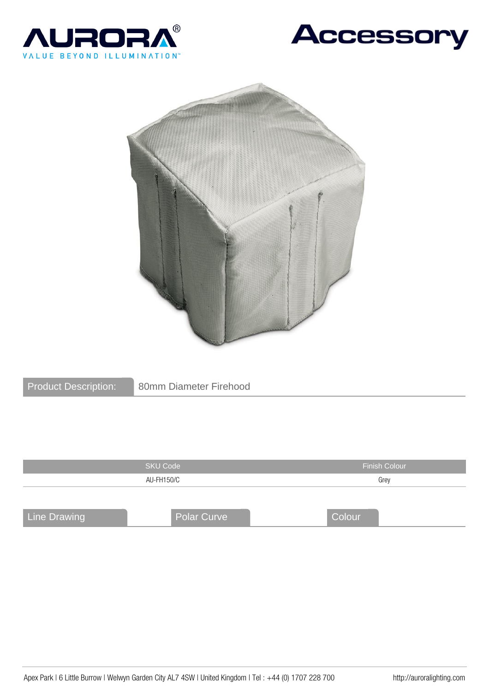





| <b>Product Description:</b> |
|-----------------------------|
|-----------------------------|

|                     | <b>SKU Code</b>    | <b>Finish Colour</b><br>Grey |  |
|---------------------|--------------------|------------------------------|--|
|                     | AU-FH150/C         |                              |  |
|                     |                    |                              |  |
|                     |                    |                              |  |
| <b>Line Drawing</b> | <b>Polar Curve</b> | Colour                       |  |